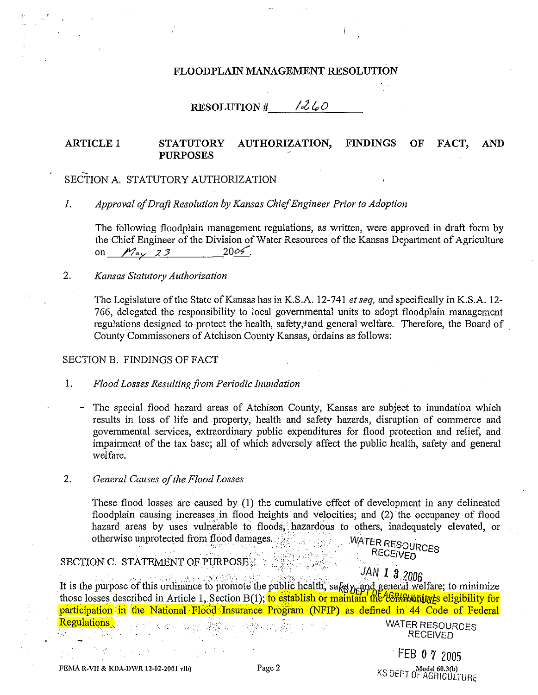### FLOODPLAIN MANAGEMENT RESOLUTION

# RESOLUTION #  $1260$

#### **FINDINGS ARTICLE 1 STATUTORY** AUTHORIZATION. OF FACT. **AND PURPOSES**

# SECTION A. STATUTORY AUTHORIZATION

Approval of Draft Resolution by Kansas Chief Engineer Prior to Adoption  $I$ .

The following floodplain management regulations, as written, were approved in draft form by the Chief Engineer of the Division of Water Resources of the Kansas Department of Agriculture on  $M_{\rm av}$  23 2005.

 $2.$ Kansas Statutory Authorization

> The Legislature of the State of Kansas has in K.S.A. 12-741 et seq, and specifically in K.S.A. 12-766, delegated the responsibility to local governmental units to adopt floodplain management regulations designed to protect the health, safety, and general welfare. Therefore, the Board of County Commissoners of Atchison County Kansas, ordains as follows:

### SECTION B. FINDINGS OF FACT

1. Flood Losses Resulting from Periodic Inundation

The special flood hazard areas of Atchison County, Kansas are subject to inundation which results in loss of life and property, health and safety hazards, disruption of commerce and governmental services, extraordinary public expenditures for flood protection and relief, and impairment of the tax base; all of which adversely affect the public health, safety and general welfare.

2. General Causes of the Flood Losses

> These flood losses are caused by (1) the cumulative effect of development in any delineated floodplain causing increases in flood heights and velocities; and (2) the occupancy of flood hazard areas by uses vulnerable to floods, hazardous to others, inadequately elevated, or otherwise unprotected from flood damages. WATER RESOURCES

### **SECTION C. STATEMENT OF PURPOSE \*\***

JAN 1 3 2006 It is the purpose of this ordinance to promote the public health, safety and general welfare; to minimize those losses described in Article 1, Section B(1); to establish or maintain the Computing is eligibility for participation in the National Flood Insurance Program (NFIP) as defined in 44 Code of Federal **Regulations** 

WATER RESOURCES **RECEIVED** 

**RECEIVED** 

FEB 0 7 2005 KS DEPT OF AGRICULTURE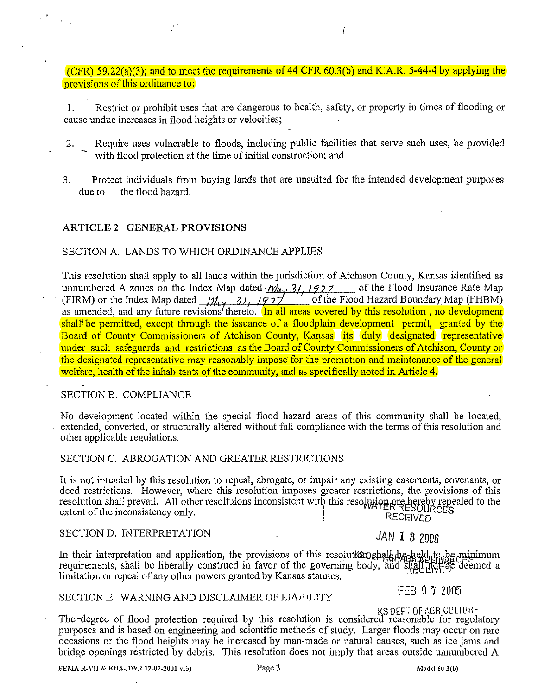(CFR) 59.22(a)(3); and to meet the requirements of 44 CFR 60.3(b) and K.A.R. 5-44-4 by applying the provisions of this ordinance to:

1. Restrict or prohibit uses that are dangerous to health, safety, or property in times of flooding or cause undue increases in flood heights or velocities;

- 2. Require uses vulnerable to floods, including public facilities that serve such uses, be provided with flood protection at the time of initial construction; and
- 3. Protect individuals from buying lands that are unsuited for the intended development purposes due to the flood hazard.

### **ARTICLE 2 GENERAL PROVISIONS**

#### SECTION A. LANDS TO WHICH ORDINANCE APPLIES

This resolution shall apply to all lands within the jurisdiction of Atchison County, Kansas identified as unnumbered A zones on the Index Map dated *n/a<sub>y</sub>* 3/, 1927 of the Flood Insurance Rate Map<br>(EIDAA) or the Index Man dated by the Card of the Flood Heread Boundary Man (EUDAA) (FIRM) or the Index Map dated  $\mu_{4}$ , 31,  $(977)$  of the Flood Hazard Boundary Map (FHBM) as amended, and any future revisions thereto. In all areas covered by this resolution, no development shall<sup>t</sup> be permitted, except through the issuance of a floodplain development permit, granted by the Board of County Commissioners of Atchison County, Kansas its duly designated representative under such safeguards and restrictions as the Board of County Commissioners of Atchison, County or the designated representative may reasonably impose for the promotion and maintenance of the general welfare, health of the inhabitants of the community, and as specifically noted in Article 4.

#### SECTION B. COMPLIANCE

No development located within the special flood hazard areas of this community shall be located, extended, converted, or structurally altered without full compliance with the terms of this resolution and other applicable regulations.

#### SECTION C. ABROGATION AND GREATER RESTRICTIONS

It is not intended by this resolution to repeal, abrogate, or impair any existing easements, covenants, or deed restrictions. However, where this resolution imposes greater restrictions, the provisions of this resolution shall prevail. All other resoltuions inconsistent with this resoltpion are hereby repealed to the extent of the inconsistency only.<br>RECEIVED RECEIVED

# SECTION D. INTERPRETATION **JAN 1 3 2006**

In their interpretation and application, the provisions of this resolut most all  $\log_{10}$ ,  $\log_{10}$ ,  $\log_{10}$  imum requirements, shall be liberally construed in favor of the governing body, and shall  $\frac{1}{20}$ . The deemed a limitation or repeal of any other powers granted by Kansas statutes.

# SECTION E. WARNING AND DISCLAIMER OF LIABILITY FEB 0 7 2005

KS DEPT OF AGRICULTURE<br>The degree of flood protection required by this resolution is considered reasonable for regulatory purposes and is based on engineering and scientific methods of study. Larger floods may occur on rare occasions or the flood heights may be increased by man-made or natural causes, such as ice jams and bridge openings restricted by debris. This resolution does not imply that areas outside unnumbered A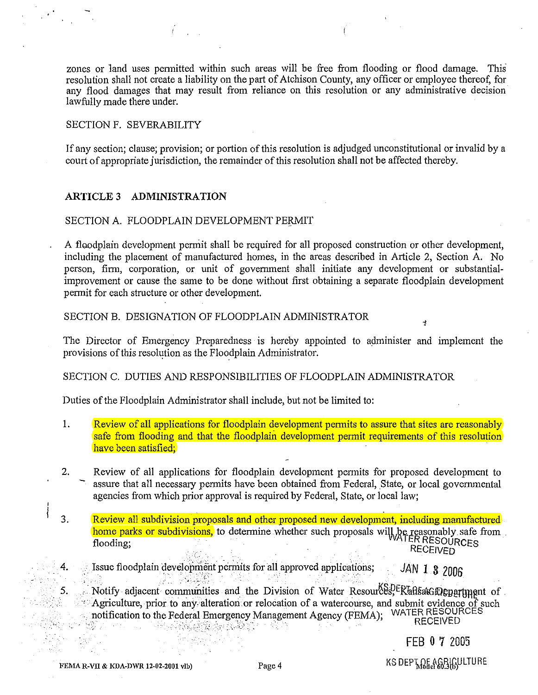zones or land uses permitted within such areas will be free from flooding or flood damage. This resolution shall not create a liability on the part of Atchison County, any officer or employee thereof, for any flood damages that may result from reliance on this resolution or any administrative decision lawfully made there under.

#### SECTION F. SEVERABILITY

If any section; clause; provision; or portion of this resolution is adjudged unconstitutional or invalid by a court of appropriate jurisdiction, the remainder of this resolution shall not be affected thereby.

# **ARTICLE 3 ADMINISTRATION**

#### SECTION A. FLOODPLAIN DEVELOPMENT PERMIT

A floodplain development perniit shall be required for all proposed construction or other development, including the placement of manufactured homes, in the areas described in Article 2, Section A. No person, firm, corporation, or unit of government shall initiate any development or substantialimprovement or cause the same to be done without first obtaining a separate floodplain development permit for each structure or other development.

SECTION B. DESIGNATION OF FLOODPLAIN ADMINISTRATOR

The Director of Emergency Preparedness is hereby appointed to administer and implement the provisions of this resolution as the Floodplain Administrator. . .

### SECTION C. DUTIES AND RESPONSIBILITIES OF FLOODPLAIN ADMINISTRATOR

Duties of the Floodplain Administrator shall include, but not be limited to:

- 1. Review of all applications for floodplain development permits to assure that sites are reasonably safe from flooding and that the floodplain development permit requirements of this resolution have been satisfied;
- 2. Review of all applications for floodplain development permits for proposed development to assure that all necessary permits have been obtained from Federal, State, or local governmental agencies from which prior approval is required by Federal, State, or local law;
- 3. Review all subdivision proposals and other proposed new development, including manufactured home parks or subdivisions, to determine whether such proposals will be reasonably safe from flooding; · . R RESOURCES . · ..·· • · . RECEIVED
	- . 4. Issue floodplain 1eve!opment permits for all approved applications; JAN **1** *8* <sup>2006</sup>

Notify adjacent communities and the Division of Water Resour&P,FRansa&neggartnent of Agriculture, prior to any alteration or relocation of a watercourse, and submit evidence of such •. notification to the Federal Emergency Management Agency (FEMA); WATER RESOURCES notification to the Federal Emergency Management Agency (FEMA); WATER RESOURN<br>RECEIVED

FEB 0 7 2005

Ą

5. .-.-,.

FEMAR-VII & KDA-DWR 12-02-2001 vlb) Page 4 REMAR-VII & KS DEP $\mathcal{R}_{\text{B}}$  Remark  $\mathcal{R}_{\text{B}}$  (if  $\mathcal{R}_{\text{B}}$ )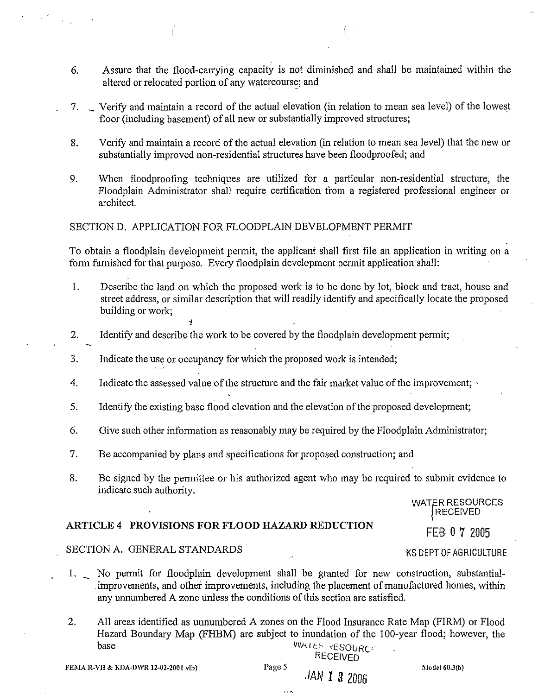- 6. Assure that the flood-carrying capacity is not diminished and shall be maintained within the altered or relocated portion of any watercourse; and
- 7. \_ Verify and maintain a record of the actual elevation (in relation to mean sea level) of the lowest floor (including basement) of all new or substantially improved structures;
- 8. Verify and maintain a record of the actual elevation (in relation to mean sea level) that the new or substantially improved non-residential structures have been floodproofed; and
- 9. When floodproofing techniques are utilized for a particular non-residential structure, the Floodplain Administrator shall require certification from a registered professional engineer or architect.

# SECTION D. APPLICATION FOR FLOODPLAIN DEVELOPMENT PERMIT

To obtain a floodplain development permit, the applicant shall first file an application in writing on a form furnished for that purpose. Every floodplain development permit application shall:

- 1. Describe the land on which the proposed work is to be done by lot, block and tract, house and street address, or similar description that will readily identify and specifically locate the proposed building or work;
- 2. Identify and describe the work to be covered by the floodplain development permit;
- 3. Indicate the use or occupancy for which the proposed work is intended;
- 4. Indicate the assessed value of the structure and the fair market value of the improvement;
- 5. Identify the existing base flood elevation and the elevation of the proposed development;
- 6. Give such other information as reasonably may be required by the Floodplain Administrator;
- 7. Be accompanied by plans and specifications for proposed construction; and
- 8. Be signed by the permittee or his authorized agent who may be required to submit evidence to indicate such authority.

WATER RESOURCES **iRECEIVED** 

### **ARTICLE 4 PROVISIONS FOR FLOOD HAZARD REDUCTION**

FEB 0 7 2005 KS DEPT OF AGRICULTURE

# SECTION A. GENERAL STANDARDS

- 1. No permit for floodplain development shall be granted for new construction, substantial- · improvements, and other improvements, including the placement of manufactured homes, within any unnumbered A zone unless the conditions of this section are satisfied.
- 2. All areas identified as unnumbered A zones on the Flood Insurance Rate Map (FIRM) or Flood Hazard Boundary Map (FHBM) are subject to inundation of the 1 00-year flood; however, the base **VVATEF RESOURC**

RECEIVED

JAN **1** 3 2006

Model 60.3(b)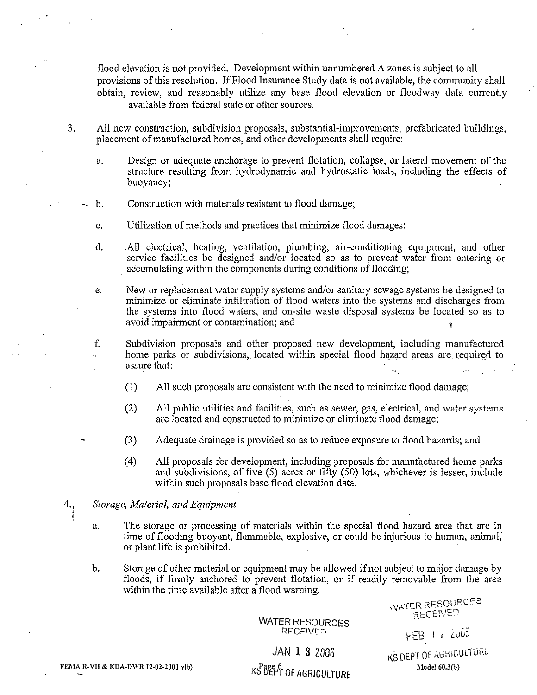flood elevation is not provided. Development within unnumbered A zones is subject to all provisions of this resolution. If Flood Insurance Study data is not available, the community shall obtain, review, and reasonably utilize any base flood elevation or floodway data currently available from federal state or other sources.

- 3. All new construction, subdivision proposals, substantial-improvements, prefabricated buildings, placement of manufactured homes, and other developments shall require:
	- a. Design or adequate anchorage to prevent flotation, collapse, or lateral movement of the structure resulting from hydrodynamic and hydrostatic loads, including the effects of buoyancy;
	- b. Construction with materials resistant to flood damage;
	- c. Utilization of methods and practices that minimize flood damages;
	- d. All electrical, heating, ventilation, plumbing, air-conditioning equipment, and other service facilities be designed and/or located so as to prevent water from entering or accumulating within the components during conditions of flooding;

e. New or replacement water supply systems and/or sanitary sewage systems be designed to minimize or eljminate infiltration of flood waters into the systems and discharges from the systems into flood waters, and on-site waste disposal systems be located so as to avoid impairment or contamination; and

- f. Subdivision proposals and other proposed new development, including manufactured home parks or subdivisions, located within special flood hazard areas are required to assure that:
	- (1) All such proposals are consistent with the need to minimize flood damage;
	- (2) All public utilities and facilities, such as sewer, gas, electrical, and water systems are located and constructed to minimize or eliminate flood damage;
	- (3) Adequate drainage is provided so as to reduce exposure to flood hazards; and
	- ( 4) All proposals for development, including proposals for manufactured home parks and subdivisions, of five (5) acres or fifty (50) lots, whichever is lesser, include within such proposals base flood elevation data.
- 4., *Storage, Material, and Equipment*  ' '
	- a. The storage or processing of materials within the special flood hazard area that are in time of flooding buoyant, flammable, explosive, or could be injurious to human, animal; or plant life is prohibited.
	- b. Storage of other material or equipment may be allowed if not subject to major damage by floods, if firmly anchored to prevent flotation, or if readily removable from the area within the time available after a flood warning.

WATER RESOURCES RECEIVED

WATER RESOURCES

JAN 1 3 2006

KS DEPT Of AGRiCULTURE  $Model60.3(b)$ 

 $FEB$   $0$   $7$   $2005$ 

FEMA R-VII & KDA-DWR 12-02-2001 vlb)

KS UEPT OF AGRICULTURE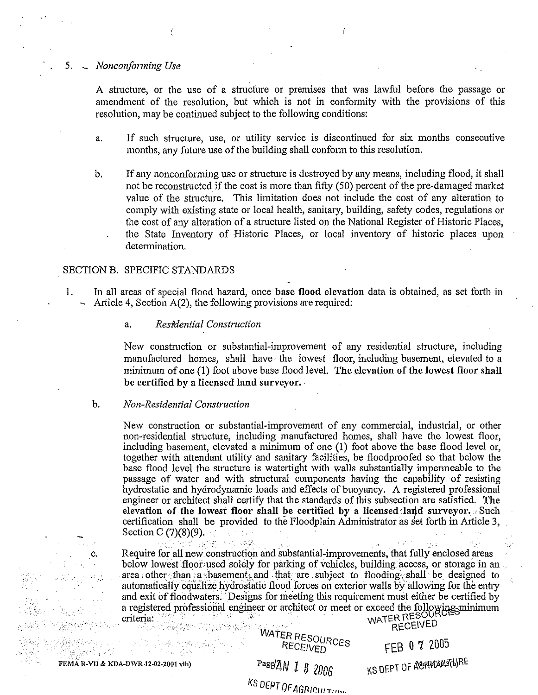#### 5. - *Nonconforming Use*

A structure, or the use of a structure or premises that was lawful before the passage or amendment of the resolution, but which is not in conformity with the provisions of this resolution, may be continued subject to the following conditions:

- a. If such structure, use, or utility service is discontinued for six months consecutive months, any future use of the building shall conform to this resolution.
- b. If any nonconforming use or structure is destroyed by any means, including flood, it shall not be reconstructed if the cost is more than fifty (50) percent of the pre-damaged market value of the structure. This limitation does not include the cost of any alteration to comply with existing state or local health, sanitary, building, safety codes, regulations or the cost of any alteration of a structure listed on the National Register of Historic Places, the State Inventory of Historic Places, or local inventory of historic places upon determination.

#### SECTION B. SPECIFIC STANDARDS

- 1. In all areas of special flood hazard, once base flood elevation data is obtained, as set forth in  $\sim$  Article 4, Section A(2), the following provisions are required:
	- a. Residential Construction

New construction or substantial-improvement of any residential structure, including manufactured homes, shall have· the lowest floor, including basement, elevated to a minimum of one (1) foot above base flood level. The elevation of the lowest floor shall be certified by a licensed land surveyor.

#### b. *Non-Residential Construction*

New construction or substantial-improvement of any commercial, industrial, or other non-residential structure, including manufactured homes, shall have the lowest floor, including basement, elevated a minimum of one (1) foot above the base flood level or, together with attendant utility and sanitary facilities, be floodproofed so that below the base flood level the structure is watertight with walls substantially impermeable to the passage of water and with structural components having the capability of resisting hydrostatic and hydrodynamic loads and effects of buoyancy. A registered professional engineer or architect shall certify that the standards of this subsection are satisfied. The elevation of the lowest floor shall be certified by a licensed land surveyor.  $\cdot$  Such certification shall be provided to the Floodplain Administrator as *kt* forth in Article 3, Section C  $(7)(8)(9)$ .

Require for all new construction and substantial-improvements, that fully enclosed areas below lowest floor used solely for parking of vehicles, building access, or storage in an area, other than cas basements and that are subject to flooding, shall be designed to automatically equalize hydrostatic flood forces on exterior walls by allowing for the entry and exit of floodwaters. Designs for meeting this requirement must either be certified by a registered professional engineer or architect or meet or exceed the following minimum cntena: : \_... · ··· WATER RESOU . . , .. • .··· ·-·.·. . . ·.. . RECEIVED

c.

WATER RESOURCES

FEB 0 7 2005

FEMA R-VII & KDA-DWR 12-02-2001 vlb)  $\frac{Page'AN}{N}$  *l* 8 2006  $\frac{KSDE}{N}$  OF AGIQHC601361RE

liS DEPT OF AGRif'lll r•·~-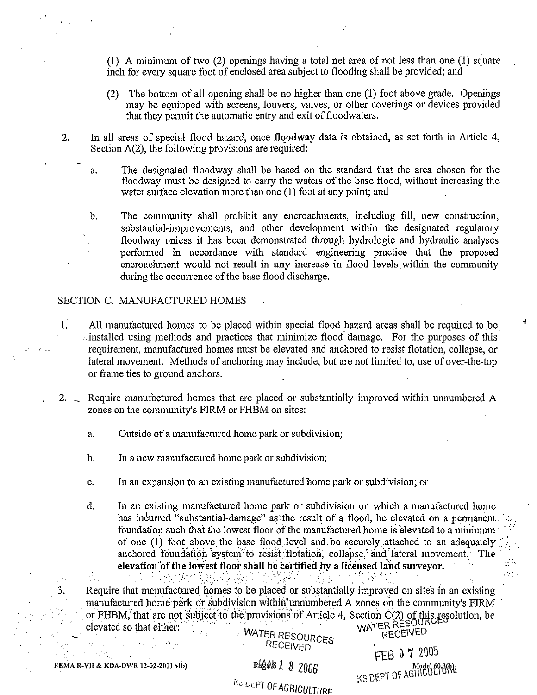**(1)** A minimum oftwo(2) openings having a total net area of not less than one (1) square inch for every square foot of enclosed area subject to flooding shall be provided; and

- (2) The bottom of all opening shall be no higher than one (1) foot above grade. Openings may be equipped with screens, louvers, valves, or other coverings or devices provided that they permit the automatic entry and exit of floodwaters.
- 2. In all areas of special flood hazard, once **floodway** data is obtained, as set forth in Article 4, Section A(2), the following provisions are required:
	- a. The designated floodway shall be based on the standard that the area chosen for the floodway must be designed to carry the waters of the base flood, without increasing the water surface elevation more than one (1) foot at any point; and

b. The community shall prohibit any encroachments, including fill, new construction, substantial-improvements, and other development within the designated regulatory floodway unless it has been demonstrated through hydrologic and hydraulic analyses performed in accordance with standard engineering practice that the proposed encroachment would not result in any increase in flood levels within the community during the occurrence of the base flood discharge.

# SECTION C. MANUFACTURED HOMES

- 1. All manufactured homes to be placed within special flood hazard areas shall be required to be  $\therefore$  installed using methods and practices that minimize flood-damage. For the purposes of this requirement, manufactured homes must be elevated and anchored to resist flotation, collapse, or lateral movement. Methods of anchoring may include, but are not limited to, use of over-the-top or frame ties to ground anchors.
- 2. \_ Require manufactured homes that are placed or substantially improved within unnumbered A zones on the community's FIRM or FHBM on sites:
	- a. Outside of a manufactured home park or subdivision;
	- b. In a new manufactured home park or subdivision;
	- c. In an expansion to an existing manufactured home park or subdivision; or
	- d. In an existing manufactured home park or subdivision on which a manufactured home has incurred "substantial-damage" as the result of a flood, be elevated on a permanent foundation such that the lowest floor of the manufactured home is elevated to a minimum of one (1) foot above the base flood level and be securely attached to an adequately anchored foundation system to resist flotation, collapse, and lateral movement. The elevation of the lowest floor shall be certified by a licensed land surveyor.

Require that manufactured homes to be placed or substantially improved on sites in an existing manufactured home park or subdivision within unnumbered A zones on the community's FIRM or FHBM, that are not subject to the provisions of Article 4, Section C(2) of this resolution, be

elevated so that either: .· .. . . WATE . . WATER CE\VED WATER RESOURCES<br>RECEIVED<br>RECEIVED

3.

Ko DEPT OF AGRICULTIJRE

Readers 2 2005<br>Readers 2 3 2006 FEMAR-VII & KDA-DWR 12-02-2001 vlb) Redee Redee Redee Redeem Provided at the Model of 1.9 Model of 1.9 Model of  $\frac{1}{2}$  ÷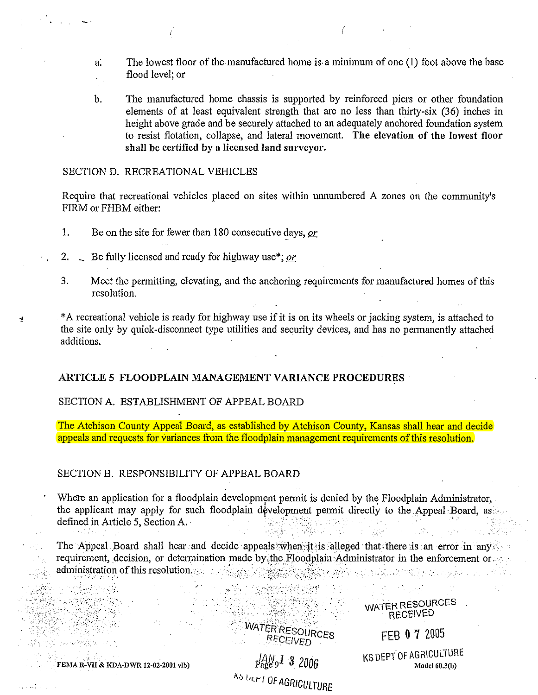- a: The lowest floor of the manufactured home is. a minimum of one (1) foot above the base flood level; or
- b. The manufactured home chassis is supported by reinforced piers or other foundation elements of at least equivalent strength that are no less than thirty-six (36) inches in height above grade and be securely attached to an adequately anchored foundation system to resist flotation, collapse, and lateral movement. The elevation of the lowest floor shall be certified by a licensed land surveyor.

#### SECTION D. RECREATIONAL VEHICLES

Require that recreational vehicles placed on sites within unnumbered A zones on the community's FIRM or FHBM either:

- 1. Be on the site for fewer than 180 consecutive days, *or*
- 2. Be fully licensed and ready for highway use\*; *or*
- 3. Meet the permitting, elevating, and the anchoring requirements for manufactured homes of this resolution.
- <sup>~</sup>\*A recreational vehicle is ready for highway use if it is on its wheels or jacking system, is attached to the site only by quick-disconnect type utilities and security devices, and has no permanently attached additions.

#### ARTICLE 5 FLOODPLAIN MANAGEMENT VARIANCE PROCEDURES

# SECTION A. ESTABLISHMENT OF APPEAL BOARD

The Atchison County Appeal Board, as established by Atchison County, Kansas shall hear and decide appeals and requests for variances from the floodplain management requirements of this resolution.

#### SECTION B. RESPONSIBILITY OF APPEAL BOARD

Where an application for a floodplain development permit is denied by the Floodplain Administrator, the applicant may apply for such floodplain development permit directly to the Appeal Board, as: defined in Article 5, Section A. u godi

The Appeal Board shall hear and decide appeals when it is alleged that there is an error in any requirement, decision, or determination made by, the Floodplain: Administrator in the enforcement or administration of this resolution:> · · · · ··· ' · · · ·· · · ..

> WATER RESOURCES **RECEIVED**

FEMA R-VII & KDA-DWR 12-02-2001 vlb)

ulini

. *. :\_:··* 

*JM91 8 zoo6*  KS UEPT OF AGRICULTURE WATER RESOURCES RECEIVED

FEB 0 7 2005

KS DEPT Of AGRICULIURE  $Model60.3(b)$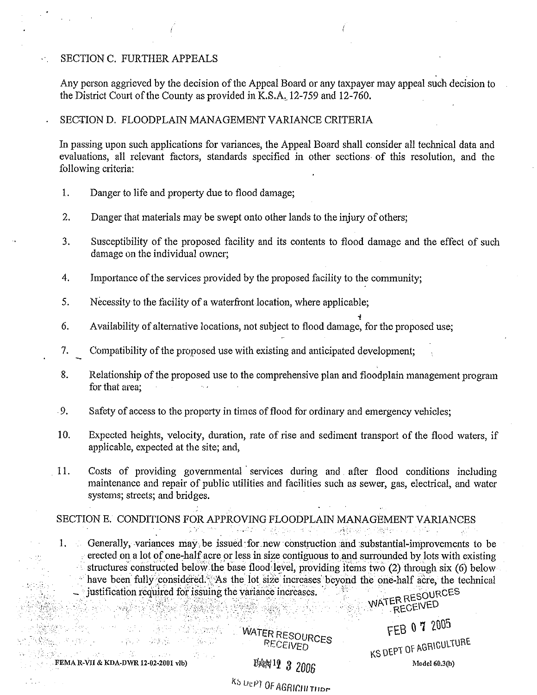# SECTION C. FURTHER APPEALS

Any person aggrieved by the decision of the Appeal Board or any taxpayer may appeal such decision to the District Court of the County as provided in K.S.A, 12-759 and 12-760.

#### SECTION D. FLOODPLAIN MANAGEMENT VARIANCE CRITERIA

In passing upon such applications for variances, the Appeal Board shall consider all technical data and evaluations, all relevant factors, standards specified in other sections of this resolution, and the following criteria:

1. Danger to life and property due to flood damage;

 $-258.85$ 

1970 San

- 2. Danger that materials may be swept onto other lands to the injury of others;
- 3. Susceptibility of the proposed facility and its contents to flood damage and the effect of such damage on the individual owner;

.,

- 4. Importance of the services provided by the proposed facility to the community;
- 5. Necessity to the facility of a waterfront location, where applicable;
- 6. Availability of alternative locations, not subject to flood damage, for the proposed use;
- 7. Compatibility of the proposed use with existing and anticipated development;
- 8. Relationship of the proposed use to the comprehensive plan and floodplain management program for that area;
- 9. Safety of access to the property in times of flood for ordinary and emergency vehicles;
- 10. Expected heights, velocity, duration, rate of rise and sediment transport of the flood waters, if applicable, expected at the site; and,
- 11. Costs of providing governmental · services duting and after flood conditions including maintenance and repair of public utilities and facilities such as sewer, gas, electrical, and water systems; streets; and bridges.

SECTION E. CONDITIONS FOR APPROVING FLOODPLAIN MANAGEMENT VARIANCES "~::

1. Generally, variances may be issued for new construction and substantial-improvements to be erected on a lot of one-half acre or less in size contiguous to and surrounded by lots with existing structures constructed below the base flood level, providing items two  $(2)$  through six  $(6)$  below ·· have been fully considered. As the lot size increases beyond the one-half acre, the technical . justification required for issuing the variance increases.  $MATER RESOUP$ <br> $NATER RESEUPED$ : ..• :··:·. ·.· .. • ; .· ... WI\ . RECENEO

WATER RESOURCES FEB 0 7 2005

KS DEPT OF AGRICULTURE FEMA R-VII & KDA-DWR 12-02-2001 vlb} 15~'2 *8 2006* Modcl60.3(b)

K:, UtPJ OF AGRir.Ju *Til* or-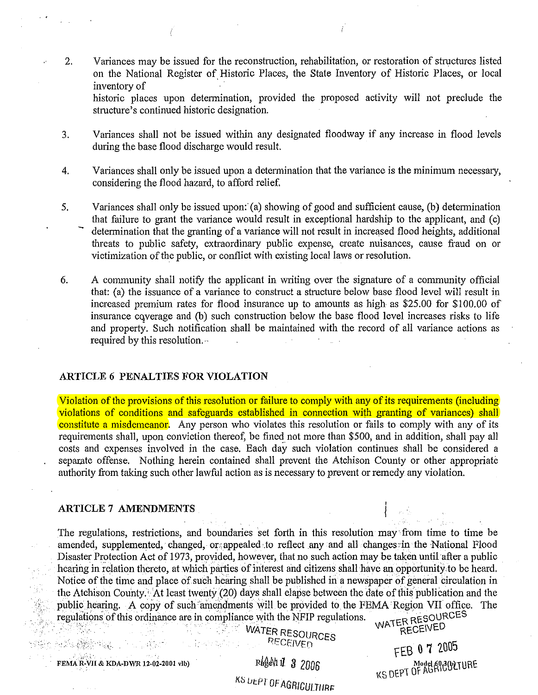2. Variances may be issued for the reconstruction, rehabilitation, or restoration of structures listed on the National Register of Historic Places, the State Inventory of Historic Places, or local inventory of

historic places upon determination, provided the proposed activity will not preclude the structure's continued historic designation.

- 3. Variances shall not be issued within any designated floodway if any increase in flood levels during the base flood discharge would result.
- 4. Variances shall only be issued upon a determination that the variance is the minimum necessary, considering the flood hazard, to afford relief.
- 5. Variances shall only be issued upon: (a) showing of good and sufficient cause, (b) determination that failure to grant the variance would result in exceptional hardship to the applicant, and (c) determination that the granting of a variance will not result in increased flood heights, additional threats to public safety, extraordinary public expense, create nuisances, cause fraud on or victimization of the public, or conflict with existing local laws or resolution.
- 6. A community shall notifY the applicant in writing over the signature of a community official that: (a) the issuance of a variance to construct a structure below base flood level will result in increased premium rates for flood insurance up to amounts as high as \$25.00 for \$100.00 of insurance cqverage and (b) such construction below the base flood level increases risks to life and property. Such notification shall be maintained with the record of all variance actions as required by this resolution.··

# **ARTICLE** *6* **PENALTIES FOR VIOLATION**

Violation of the provisions of this resolution or failure to comply with any of its requirements (including violations of conditions and safeguards established in connection with granting of variances) shall constitute a misdemeanor. Any person who violates this resolution or fails to comply with any of its requirements shall, upon conviction thereof, be fined not more than \$500, and in addition, shall pay all costs and expenses involved in the case. Each day such violation continues shall be considered a separate offense. Nothing herein contained shall prevent the Atchison County or other appropriate authority from taking such other lawful action as is necessary to prevent or remedy any violation.

#### **ARTICLE 7 AMENDMENTS**

The regulations, restrictions, and boundaries set forth in this resolution may from time to time be amended, supplemented, changed, or appealed to reflect any and all changes in the National Flood Disaster Protection Act of 1973, provided, however, that no such action may be taken until after a public hearing in relation thereto, at which parties of interest and citizens shall have an opportunity to be heard. Notice of the time and place of such hearing shall be published in a newspaper of general circulation in the Atchison County.' At least twenty (20) days shall elapse between the date of this publication and the public hearing. A copy of such amendments will be provided to the FEMA Region VII office. The regulations of this ordinance are in compliance with the NFIP regulations. regulations of this ordinance are in compliance with the NFIP regulations.<br>WATER RESOURCESS WATER PERSONS

WATER RESOURCES

KS UEPT OF AGRICULTIIRE

. ' *PECE/\Jf.[l* FEB **0** 7 '2.005 FED . FED W. FED<br>Model 603(b) TURE Read Model 603(b) TURE Read Model 603(b) TURE KENIL PINE Model 603(b) TURE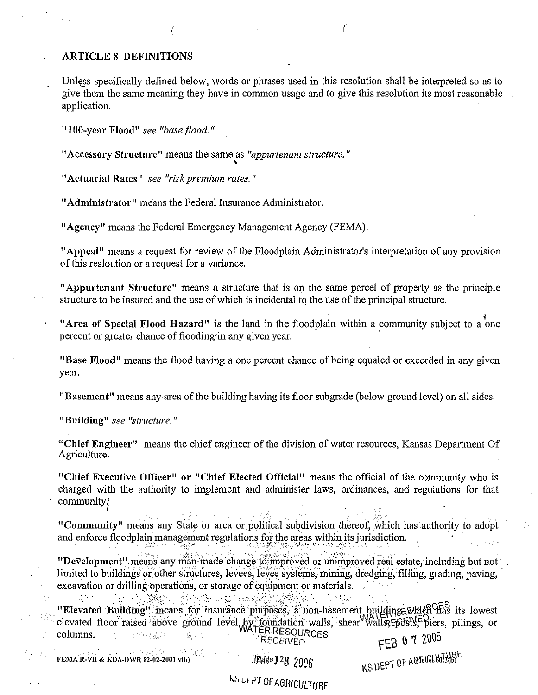# **ARTICLE 8 DEFINITIONS**

Unless specifically defined below, words or phrases used in this resolution shall be interpreted so as to give them the same meaning they have in common usage and to give this resolution its most reasonable application.

"100-year Flood" see "base flood."

"Accessory Structure" means the same as "appurtenant structure."

"Actuarial Rates" see "risk premium rates."

"Administrator" means the Federal Insurance Administrator.

"Agency" means the Federal Emergency Management Agency (FEMA).

"Appeal" means a request for review of the Floodplain Administrator's interpretation of any provision of this resloution or a request for a variance.

"Appurtenant Structure" means a structure that is on the same parcel of property as the principle structure to be insured and the use of which is incidental to the use of the principal structure.

"Area of Special Flood Hazard" is the land in the floodplain within a community subject to a one percent or greater chance of flooding in any given year.

"Base Flood" means the flood having a one percent chance of being equaled or exceeded in any given year.

"Basement" means any area of the building having its floor subgrade (below ground level) on all sides.

"Building" see "structure."

"Chief Engineer" means the chief engineer of the division of water resources, Kansas Department Of Agriculture.

"Chief Executive Officer" or "Chief Elected Official" means the official of the community who is charged with the authority to implement and administer laws, ordinances, and regulations for that community;

"Community" means any State or area or political subdivision thereof, which has authority to adopt and enforce floodplain management regulations for the areas within its jurisdiction.

"Development" means any man-made change to improved or unimproved real estate, including but not limited to buildings or other structures, levees, levee systems, mining, dredging, filling, grading, paving, excavation or drilling operations, or storage of equipment or materials. 孫知ら

"Elevated Building" means for insurance purposes, a non-basement building which has its lowest elevated floor raised above ground level by foundation walls, shear walls, Eposits, pilings, or columns. **RECEIVED** 

FEMA R-VII & KDA-DWR 12-02-2001 vlb)

JPage 123 2006

FEB 0 7 2005

KS DEPT OF AGRICIATIONE

# KS UEPT OF AGRICULTURE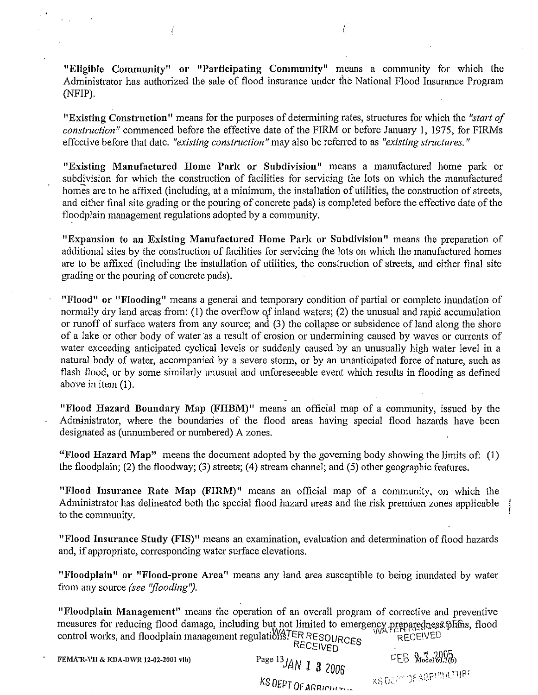"Eligible Community" or "Participating Community" means a community for which the Administrator has authorized the sale of flood insurance under the National Flood Insurance Program (NFIP).

"Existing Construction" means for the purposes of determining rates, structures for which the *"start of construction"* commenced before the effective date of the FIRM or before January 1, 1975, for FIRMs effective before that date. *"existing construction"* may also be referred to as *"existing structures."* 

"Existing Manufactured Home Park or Subdivision" means a manufactured home park or subdivision for which the construction of facilities for servicing the lots on which the manufactured homes are to be affixed (including, at a minimum, the installation of utilities, the construction of streets, and either final site grading or the pouring of concrete pads) is completed before the effective date of the floodplain management regulations adopted by a community.

"Expansion to an Existing Manufactured Home Park or Subdivision" means the preparation of additional sites by the construction of facilities for servicing the lots on which the manufactured homes are to be affixed (including the installation of utilities, the construction of streets, and either final site grading or the pouring of concrete pads).

"Flood" or "Flooding" means a general and temporary condition of partial or complete inundation of normally dry land areas from: (1) the overflow *of* inland waters; (2) the unusual and rapid accumulation or runoff of surface waters from any source; and (3) the collapse or subsidence of land along the shore of a lake or other body of water as a result of erosion or undermining caused by waves or currents of water exceeding anticipated cyclical levels or suddenly caused by an unusually high water level in a natural body of water, accompanied by a severe storm, or by an unanticipated force of nature, such as flash flood, or by some similarly unusual and unforeseeable event which results in flooding as defined above in item (I).

"Flood Hazard Boundary Map (FHBM)" means an official map of a community, issued by the Administrator, where the boundaries of the flood areas having special flood hazards have been designated as (unnumbered or numbered) A zones.

"Flood Hazard Map" means the document adopted by the governing body showing the limits of: (1) the floodplain; (2) the floodway; (3) streets; (4) stream channel; and (5) other geographic features.

"Flood Insurance Rate Map (FIRM)" means an official map of a community, on which the Administrator has delineated both the special flood hazard areas and the risk premium zones applicable to the community.

"Flood Insurance Study (FIS)" means an examination, evaluation and detennination of flood hazards and, if appropriate, corresponding water surface elevations.

"Floodplain" or "Flood-prone Area" means any land area susceptible to being inundated by water from any source *(see "flooding")*.

"Floodplain Management" means the operation of an overall program of corrective and preventive measures for reducing flood damage, including but not limited to emergency preparedness plans, flood control works, and floodplain management regulations? FR RESOURCES control works, and floodplain management regulations FER RESOURCES RECEIVED<br>FEMATE PRECEIVED RECEIVED RECEIVED RECEIVED RECEIVED RECEIVED

FEMAR-VII & KDA-DWR 12-02-2001 vlb) Page  $^{13}$  JAN 1 3 2006  $-$  KS DEPT OF AGRICULTURE KS DEPT OF AGRICIUTILE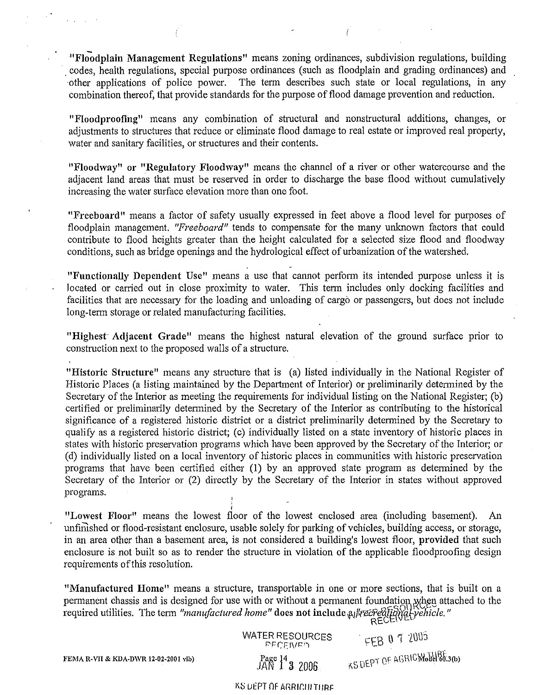"Floodplain Management Regulations" means zoning ordinances, subdivision regulations, building . codes, health regulations, special purpose ordinances (such as floodplain and grading ordinances) and other applications of police power. The term describes such state or local regulations, in any combination thereof, that provide standards for the purpose of flood damage prevention and reduction.

"Floodproofing" means any combination of structural and nonstructural additions, changes, or adjustments to structures that reduce or eliminate flood damage to real estate or improved real propetiy, water and sanitary facilities, or structures and their contents.

"Floodway" or "Regulatory Floodway" means the channel of a river or other watercourse and the adjacent land areas that must be reserved in order to discharge the base flood without cumulatively increasing the water surface elevation more than one foot.

"Freeboard" means a factor of safety usually expressed in feet above a flood level for purposes of floodplain management. *"Freeboard"* tends to compensate for the many unknown factors that could contribute to flood heights greater than the height calculated for a selected size flood and floodway conditions, such as bridge openings and the hydrological effect of urbanization of the watershed.

"Functionally Dependent Use" means a use that cannot perform its intended purpose unless it is located or carried out in close proximity to water. This term includes only docking facilities and facilities that are necessary for the loading and unloading of cargo or passengers, but does not include long-term storage or related manufacturing facilities.

"Highest Adjacent Grade" means the highest natural elevation of the ground surface prior to constmction next to the proposed walls of a structure.

"Historic Structure" means any structure that is (a) listed individually in the National Register of Historic Places (a listing maintained by the Department of Interior) or preliminarily determined by the Secretary of the Interior as meeting the requirements for individual listing on the National Register; (b) certified or preliminarily determined by the Secretary of the Interior as contributing to the historical significance of a registered historic district or a district preliminarily determined by the Secretary to qualifY as a registered historic district; (c) individually listed on a state inventory of historic places in states with historic preservation programs which have been approved by the Secretary of the Interior; or (d) individually listed on a local inventory of historic places in communities with historic preservation programs that have been certified either (1) by an approved state program as determined by the Secretary of the Interior or (2) directly by the Secretary of the Interior in states without approved programs.

"Lowest Floor" means the lowest floor of the lowest enclosed area (including basement). An unfimshed or flood-resistant enclosure, usable solely for parking of vehicles, building access, or storage, in an area other than a basement area, is not considered a building's lowest floor, provided that such enclosure is not built so as to render the structure in violation of the applicable floodproofing design requirements of this resolution.

"Manufactured Home" means a structure, transportable in one or more sections, that is built on a permanent chassis and is designed for use with or without a permanent foundation when attached to the required utilities. The term "manufactured home" does not include altrecreational vehicle."

> WATER RESOURCES FEB  $0$  7 2005<br>  $P_{Bge}$  14 2 2006<br>  $JAN$  1 3 2006<br>  $\frac{1}{2}$   $\frac{1}{2}$   $\frac{1}{2}$   $\frac{1}{2}$   $\frac{1}{2}$   $\frac{1}{2}$   $\frac{1}{2}$   $\frac{1}{2}$   $\frac{1}{2}$   $\frac{1}{2}$   $\frac{1}{2}$   $\frac{1}{2}$   $\frac{1}{2}$   $\frac{1}{2}$   $\frac{1}{2}$   $\frac{1$  $JAN$   $1^4$  3 2006

> > KS DEPT OF AGRICILITIIRE

FEMA R-VII & KDA-DWR 12-02-2001 vlb)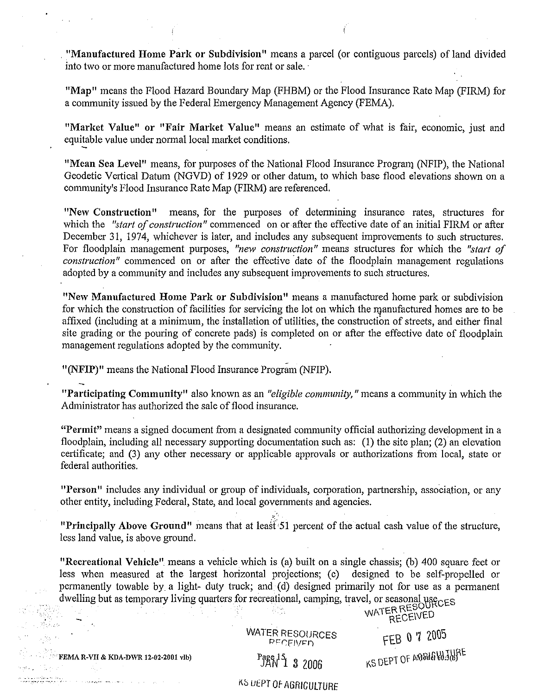. "Manufactured Home Park or Subdivision" means a parcel (or contiguous parcels) of land divided into two or more manufactured home lots for rent or sale. ·

"Map" means the Flood Hazard Boundary Map (FHBM) or the Flood Insurance Rate Map (FIRM) for a community issued by the Federal Emergency Management Agency (FEMA).

"Market Value" or "Fair Market Value" means an estimate of what is fair, economic, just and equitable value under normal local market conditions.

"Mean Sea Level" means, for purposes of the National Flood Insurance Program (NFIP), the National Geodetic Vertical Datum (NGVD) of 1929 or other datum, to which base flood elevations shown on a community's Flood Insurance Rate Map (FIRM) are referenced.

"New Construction" means, for the purposes of determining insurance rates, structures for which the *"start of construction"* commenced on or after the effective date of an initial FIRM or after December 31, 1974, whichever is later, and includes any subsequent improvements to such structures. For floodplain management purposes, *"new construction"* means structures for which the *"start of construction"* commenced on or after the effective date of the floodplain management regulations adopted by a community and includes any subsequent improvements to such structures.

"New Manufactured Home Park or Subdivision" means a manufactured home park or subdivision for which the construction of facilities for servicing the lot on which the manufactured homes are to be affixed (including at a minimum, the installation of utilities, the construction of streets, and either final site grading or the pouring of concrete pads) is completed on or after the effective date of floodplain management regulations adopted by the community.

"(NFIP)" means the National Flood Insurance Program (NFIP).

"Participating Community" also known as an *"eligible community,* "means a community in which the Administrator has authorized the sale of flood insurance.

"Permit" means a signed document from a designated community official authorizing development in a floodplain, including all necessary supporting documentation such as: (1) the site plan; (2) an elevation certificate; and (3) any other necessary or applicable approvals or authorizations from local, state or federal authorities.

"Person" includes any individual or group of individuals, corporation, partnership, association, or any other entity, including Federal, State, and local governments and agencies.

"Principally Above Ground" means that at least 51 percent of the actual cash value of the structure, less land value, is above ground.

"Recreational Vehicle" means a vehicle which is (a) built on a single chassis; (b) 400 square feet or less when measured at the largest horizontal projections; (c) designed to be self-propelled or permanently towable by a light- duty truck; and (d) designed primarily not for use as a permanent dwelling but as temporary living quarters for recreational, camping, travel, or seasonal usecuse ...<br>MATER RESOURCES

**Francisco Control of the CENT RECEIVED** 

FEMA R-VII & KDA-DWR 12-02-2001 vlb)

n alle participe de l'ale.<br>'' - annoyme en memorie de la color de la participe de l'ale de la color de l'ale de l'ale de l'ale de l'ale

Page 15 3 2006

WATER RESOURCES PFCFIVED.

FEB 0 7 2005 KS DEPT OF AMBIE WJURE

KS UEPT OF AGRICULTURE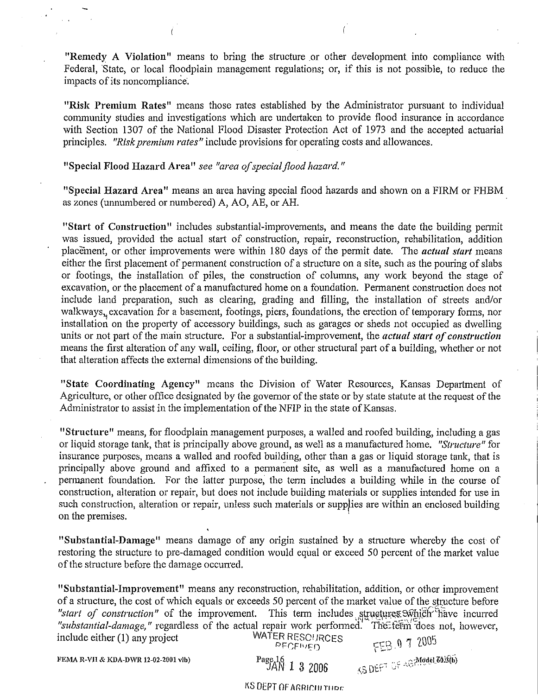"Remedy A Violation" means to bring the structure or other development into compliance with Federal, "State, or local floodplain management regulations; or, if this is not possible, to reduce the impacts of its noncompliance.

"Risk Premium Rates" means those rates established by the Administrator pursuant to individual community studies and investigations which are undertaken to provide flood insurance in accordance with Section 1307 of the National Flood Disaster Protection Act of 1973 and the accepted actuarial principles. *"Risk premium rates"* include provisions for operating costs and allowances.

# "Special Flood Hazard Area" *see "area of special flood hazard."*

"Special Hazard Area" means an area having special flood hazards and shown on a FIRM or FHBM as zones (unnumbered or numbered) A, AO, AE, or AH.

"Start of Construction" includes substantial-improvements, and means the date the building permit was issued, provided the actual start of construction, repair, reconstruction, rehabilitation, addition placement, or other improvements were within 180 days of the permit date. The *actual start* means either the first placement of permanent construction of a structure on a site, such as the pouring of slabs or footings, the installation of piles, the construction of columns, any work beyond the stage of excavation, or the placement of a manufactured home on a foundation. Permanent construction does not include land preparation, such as clearing, grading and filling, the installation of streets and/or walkways, excavation for a basement, footings, piers, foundations, the erection of temporary forms, nor installation on the property of accessory buildings, such as garages or sheds not occupied as dwelling units or not part of the main structure. For a substantial-improvement, the *actual start of construction*  means the first alteration of any wall, ceiling, floor, or other structural part of a building, whether or not that alteration affects the external dimensions of the building.

"State Coordinating Agency" means the Division of Water Resources, Kansas Department of Agriculture, or other office designated by the governor of the state or by state statute at the request of the Administrator to assist in the implementation of the NFIP in the state of Kansas.

"Structure" means, for floodplain management purposes, a walled and roofed building, including a gas or liquid storage tank, that is principally above ground, as well as a manufactured home. *"Structure"* for insurance purposes, means a walled and roofed building, other than a gas or liquid storage tank, that is principally above ground and affixed to a permanent site, as well as a manufactured home on a permanent foundation. For the latter purpose, the term includes a building while in the course of construction, alteration or repair, but does not include building materials or supplies intended for use in such construction, alteration or repair, unless such materials or supp/ies are within an enclosed building on the premises.

"Substantial-Damage" means damage of any origin sustained by a structure whereby the cost of restoring the structure to pre-damaged condition would equal or exceed 50 percent of the market value of the structure before the damage occurred.

"Substantial-Improvement" means any reconstruction, rehabilitation, addition, or other improvement of a structure, the cost of which equals or exceeds 50 percent of the market value of the sjructure before *"start of construction"* of the improvement. This term includes structures  $\mathfrak{M}$  includes incurred *"substantial-damage*," regardless of the actual repair work performed. The term does not, however,<br>include either (1) any project WATER RESOURCES include either (1) any project WATER RESOURCES FEB 17 2005

FEMA R-VII & KDA-DWR 12-02-2001 vlb) Page 16  $\frac{16}{3}$  2006

 $3.5$  DEF<sup>T</sup> OF AGA CONGLESOLED

**KS DEPT OF AGRICILITIIDE**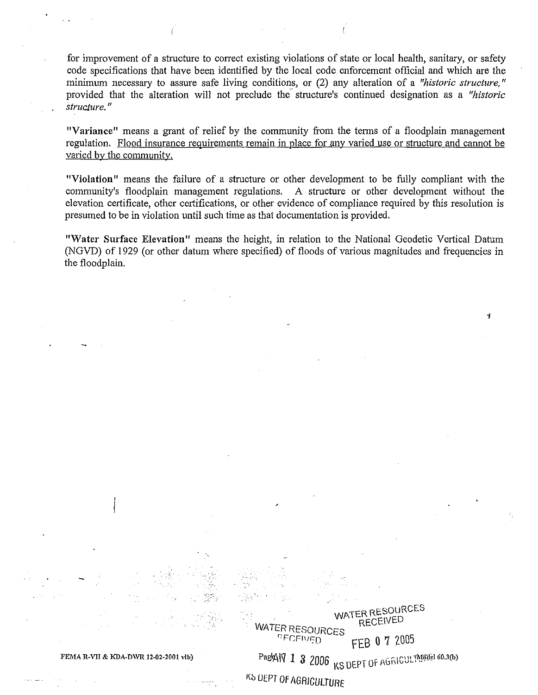for improvement of a structure to correct existing violations of state or local health, sanitary, or safety code specifications that have been identified by the local code enforcement official and which are the minimum necessary to assure safe living conditions, or (2) any alteration of a *"historic structure,"*  provided that the alteration will not preclude the structure's continued designation as a *"historic structure.* "

"Variance" means a grant of relief by the community from the terms of a floodplain management regulation. Flood insurance requirements remain in place for any varied use or structure and cannot be varied by the community.

"Violation" means the failure of a structure or other development to be fully compliant with the community's floodplain management regulations. A structure or other development without the elevation certificate, other certifications, or other evidence of compliance required by this resolution is presumed to be in violation until such time as that documentation is provided.

"Water Surface Elevation" means the height, in relation to the National Geodetic Vertical Datum (NGVD) of 1929 (or other datum where specified) of floods of various magnitudes and frequencies in the floodplain.

WATER RESOURCES<br>PECEN<sub>ED</sub>

WATER RESOURCES RECEIVED

 $\mathbf{I}$ 

FEB 0 7 2005

FEMA R-VII & KDA-DWR 12-02-2001 vlb)